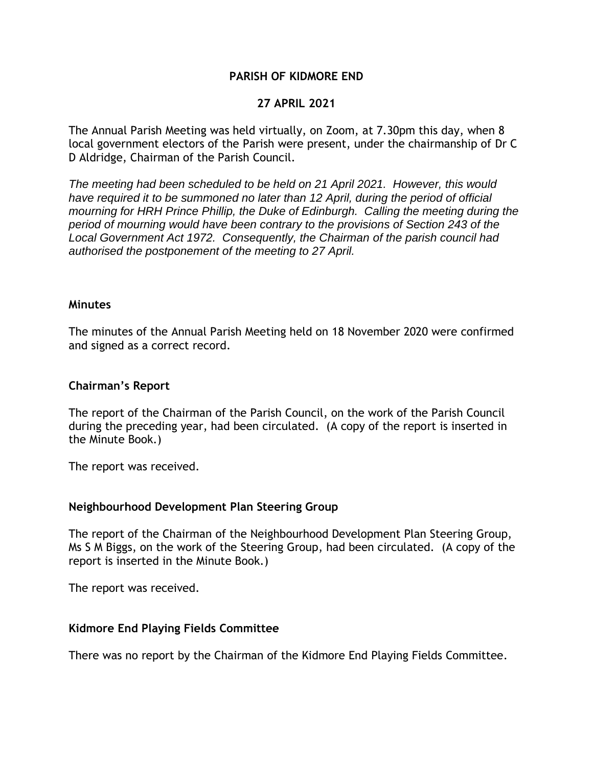## **PARISH OF KIDMORE END**

## **27 APRIL 2021**

The Annual Parish Meeting was held virtually, on Zoom, at 7.30pm this day, when 8 local government electors of the Parish were present, under the chairmanship of Dr C D Aldridge, Chairman of the Parish Council.

*The meeting had been scheduled to be held on 21 April 2021. However, this would have required it to be summoned no later than 12 April, during the period of official mourning for HRH Prince Phillip, the Duke of Edinburgh. Calling the meeting during the period of mourning would have been contrary to the provisions of Section 243 of the Local Government Act 1972. Consequently, the Chairman of the parish council had authorised the postponement of the meeting to 27 April.*

#### **Minutes**

The minutes of the Annual Parish Meeting held on 18 November 2020 were confirmed and signed as a correct record.

### **Chairman's Report**

The report of the Chairman of the Parish Council, on the work of the Parish Council during the preceding year, had been circulated. (A copy of the report is inserted in the Minute Book.)

The report was received.

### **Neighbourhood Development Plan Steering Group**

The report of the Chairman of the Neighbourhood Development Plan Steering Group, Ms S M Biggs, on the work of the Steering Group, had been circulated. (A copy of the report is inserted in the Minute Book.)

The report was received.

### **Kidmore End Playing Fields Committee**

There was no report by the Chairman of the Kidmore End Playing Fields Committee.